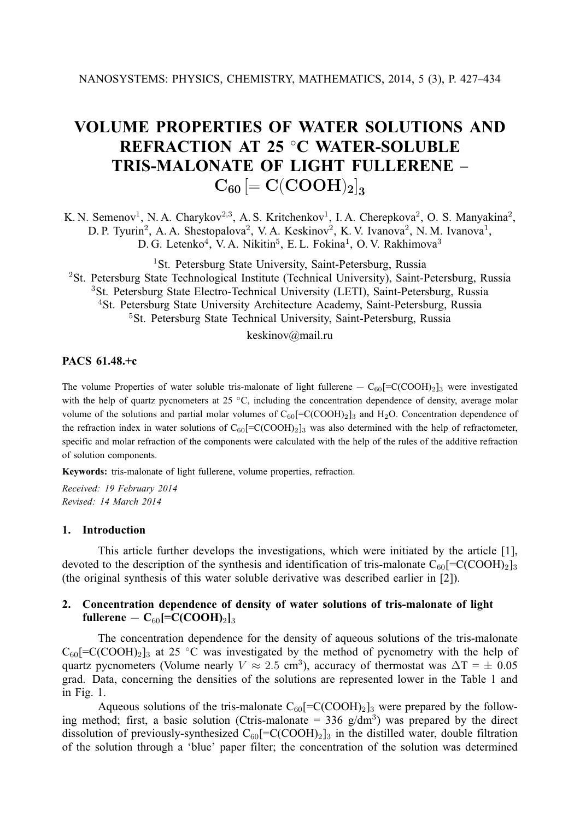# **VOLUME PROPERTIES OF WATER SOLUTIONS AND REFRACTION AT 25** ◦**C WATER-SOLUBLE TRIS-MALONATE OF LIGHT FULLERENE –**  $C_{60}$  [=  $C(COOH)<sub>2</sub>$ ]<sub>3</sub>

K. N. Semenov<sup>1</sup>, N. A. Charykov<sup>2,3</sup>, A. S. Kritchenkov<sup>1</sup>, I. A. Cherepkova<sup>2</sup>, O. S. Manyakina<sup>2</sup>, D. P. Tyurin<sup>2</sup>, A. A. Shestopalova<sup>2</sup>, V. A. Keskinov<sup>2</sup>, K. V. Ivanova<sup>2</sup>, N. M. Ivanova<sup>1</sup>, D. G. Letenko<sup>4</sup>, V. A. Nikitin<sup>5</sup>, E. L. Fokina<sup>1</sup>, O. V. Rakhimova<sup>3</sup>

<sup>1</sup>St. Petersburg State University, Saint-Petersburg, Russia <sup>2</sup>St. Petersburg State Technological Institute (Technical University), Saint-Petersburg, Russia <sup>3</sup>St. Petersburg State Electro-Technical University (LETI), Saint-Petersburg, Russia <sup>4</sup>St. Petersburg State University Architecture Academy, Saint-Petersburg, Russia <sup>5</sup>St. Petersburg State Technical University, Saint-Petersburg, Russia

keskinov@mail.ru

# **PACS 61.48.+c**

The volume Properties of water soluble tris-malonate of light fullerene  $-C_{60}$ [=C(COOH)<sub>2</sub>]<sub>3</sub> were investigated with the help of quartz pycnometers at 25 ℃, including the concentration dependence of density, average molar volume of the solutions and partial molar volumes of  $C_{60}$ [=C(COOH)<sub>2</sub>]<sub>3</sub> and H<sub>2</sub>O. Concentration dependence of the refraction index in water solutions of  $C_{60}$ [=C(COOH)<sub>2</sub>]<sub>3</sub> was also determined with the help of refractometer, specific and molar refraction of the components were calculated with the help of the rules of the additive refraction of solution components.

**Keywords:** tris-malonate of light fullerene, volume properties, refraction.

*Received: 19 February 2014 Revised: 14 March 2014*

### **1. Introduction**

This article further develops the investigations, which were initiated by the article [1], devoted to the description of the synthesis and identification of tris-malonate  $C_{60}$ [=C(COOH)<sub>2</sub>]<sub>3</sub> (the original synthesis of this water soluble derivative was described earlier in [2]).

# **2. Concentration dependence of density of water solutions of tris-malonate of light**  $full$ erene  $-C_{60}$ [=C(COOH)<sub>2</sub>]<sub>3</sub>

The concentration dependence for the density of aqueous solutions of the tris-malonate  $C_{60}$ [=C(COOH)<sub>2</sub>]<sub>3</sub> at 25 °C was investigated by the method of pycnometry with the help of quartz pycnometers (Volume nearly  $V \approx 2.5$  cm<sup>3</sup>), accuracy of thermostat was  $\Delta T = \pm 0.05$ grad. Data, concerning the densities of the solutions are represented lower in the Table 1 and in Fig. 1.

Aqueous solutions of the tris-malonate  $C_{60}$ [=C(COOH)<sub>2</sub>]<sub>3</sub> were prepared by the following method; first, a basic solution (Ctris-malonate =  $336$  g/dm<sup>3</sup>) was prepared by the direct dissolution of previously-synthesized  $C_{60}$ [=C(COOH)<sub>2</sub>]<sub>3</sub> in the distilled water, double filtration of the solution through a 'blue' paper filter; the concentration of the solution was determined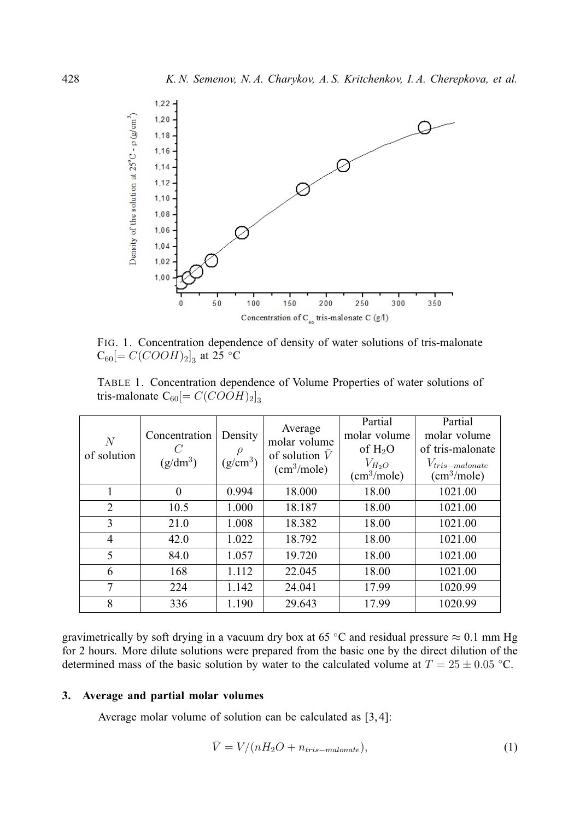

FIG. 1. Concentration dependence of density of water solutions of tris-malonate  $C_{60}$ [=  $C(COOH)_2$ ]<sub>3</sub> at 25 °C

TABLE 1. Concentration dependence of Volume Properties of water solutions of tris-malonate  $C_{60}$ [=  $C(COOH)_{2}]_{3}$ 

| $\overline{N}$<br>of solution | Concentration<br>$(g/dm^3)$ | Density<br>$\rho$<br>$(g/cm^3)$ | Average<br>molar volume<br>of solution $V$<br>(cm <sup>3</sup> /mole) | Partial<br>molar volume<br>of $H_2O$<br>$V_{H_2O}$<br>(cm <sup>3</sup> /mole) | Partial<br>molar volume<br>of tris-malonate<br>$V_{tris-malonate}$<br>(cm <sup>3</sup> /mole) |
|-------------------------------|-----------------------------|---------------------------------|-----------------------------------------------------------------------|-------------------------------------------------------------------------------|-----------------------------------------------------------------------------------------------|
|                               | 0                           | 0.994                           | 18.000                                                                | 18.00                                                                         | 1021.00                                                                                       |
| $\overline{2}$                | 10.5                        | 1.000                           | 18.187                                                                | 18.00                                                                         | 1021.00                                                                                       |
| 3                             | 21.0                        | 1.008                           | 18.382                                                                | 18.00                                                                         | 1021.00                                                                                       |
| 4                             | 42.0                        | 1.022                           | 18.792                                                                | 18.00                                                                         | 1021.00                                                                                       |
| 5                             | 84.0                        | 1.057                           | 19.720                                                                | 18.00                                                                         | 1021.00                                                                                       |
| 6                             | 168                         | 1.112                           | 22.045                                                                | 18.00                                                                         | 1021.00                                                                                       |
| 7                             | 224                         | 1.142                           | 24.041                                                                | 17.99                                                                         | 1020.99                                                                                       |
| 8                             | 336                         | 1.190                           | 29.643                                                                | 17.99                                                                         | 1020.99                                                                                       |

gravimetrically by soft drying in a vacuum dry box at 65 °C and residual pressure  $\approx 0.1$  mm Hg for 2 hours. More dilute solutions were prepared from the basic one by the direct dilution of the determined mass of the basic solution by water to the calculated volume at  $T = 25 \pm 0.05$  °C.

#### **3. Average and partial molar volumes**

Average molar volume of solution can be calculated as [3, 4]:

$$
\bar{V} = V/(nH_2O + n_{tris-malonate}),\tag{1}
$$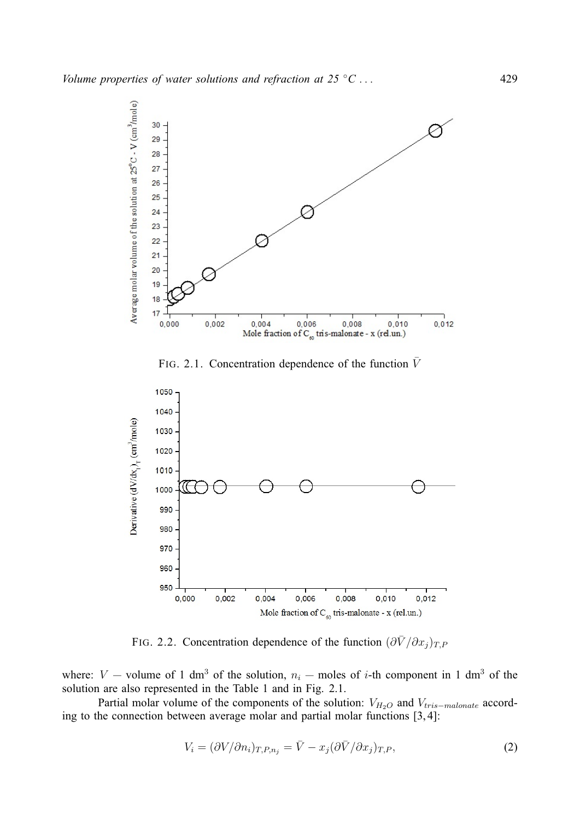

FIG. 2.2. Concentration dependence of the function  $(\partial \bar{V}/\partial x_j)_{T,F}$ 

where:  $V$  – volume of 1 dm<sup>3</sup> of the solution,  $n<sub>i</sub>$  – moles of *i*-th component in 1 dm<sup>3</sup> of the solution are also represented in the Table 1 and in Fig. 2.1.

Partial molar volume of the components of the solution:  $V_{H_2O}$  and  $V_{tris-malonate}$  according to the connection between average molar and partial molar functions [3, 4]:

$$
V_i = (\partial V/\partial n_i)_{T,P,n_j} = \bar{V} - x_j (\partial \bar{V}/\partial x_j)_{T,P},\tag{2}
$$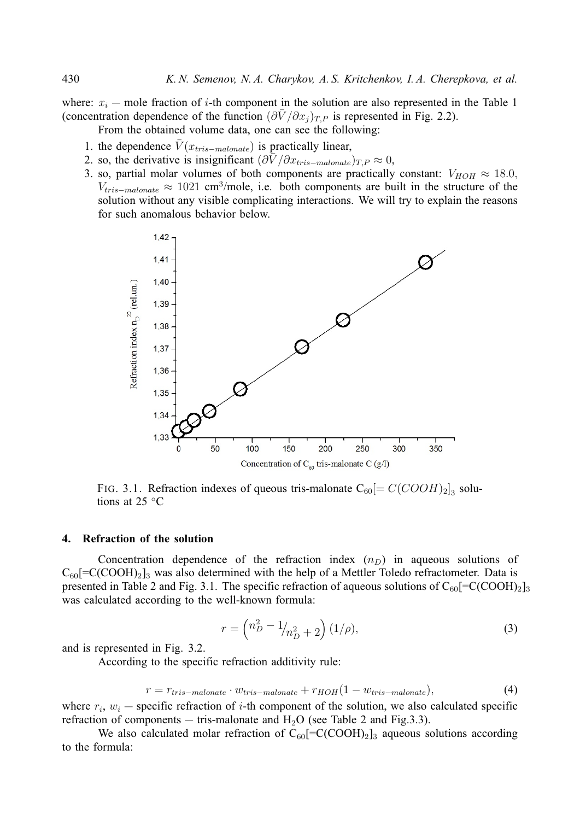where:  $x_i$  — mole fraction of *i*-th component in the solution are also represented in the Table 1 (concentration dependence of the function  $(\partial \bar{V}/\partial x_j)_{T,P}$  is represented in Fig. 2.2).

From the obtained volume data, one can see the following:

- 1. the dependence  $\bar{V}(x_{tris-malonate})$  is practically linear,
- 2. so, the derivative is insignificant  $(\partial \overline{V}/\partial x_{tris-malonate})_{T,P} \approx 0$ ,
- 3. so, partial molar volumes of both components are practically constant:  $V_{HOH} \approx 18.0$ ,  $V_{tris-malonate} \approx 1021$  cm<sup>3</sup>/mole, i.e. both components are built in the structure of the solution without any visible complicating interactions. We will try to explain the reasons for such anomalous behavior below.



FIG. 3.1. Refraction indexes of queous tris-malonate  $C_{60}$ [=  $C(COOH)_{2}]_3$  solutions at 25 ◦C

## **4. Refraction of the solution**

Concentration dependence of the refraction index  $(n_D)$  in aqueous solutions of  $C_{60}$ [=C(COOH)<sub>2</sub>]<sub>3</sub> was also determined with the help of a Mettler Toledo refractometer. Data is presented in Table 2 and Fig. 3.1. The specific refraction of aqueous solutions of  $C_{60}$ [=C(COOH)<sub>2</sub>]<sub>3</sub> was calculated according to the well-known formula:

$$
r = \left(\frac{n_D^2 - 1}{n_D^2 + 2}\right)(1/\rho),\tag{3}
$$

and is represented in Fig. 3.2.

According to the specific refraction additivity rule:

$$
r = r_{tris-malonate} \cdot w_{tris-malonate} + r_{HOH}(1 - w_{tris-malonate}), \tag{4}
$$

where  $r_i$ ,  $w_i$  – specific refraction of *i*-th component of the solution, we also calculated specific refraction of components — tris-malonate and  $H_2O$  (see Table 2 and Fig.3.3).

We also calculated molar refraction of  $C_{60}$ [=C(COOH)<sub>2</sub>]<sub>3</sub> aqueous solutions according to the formula: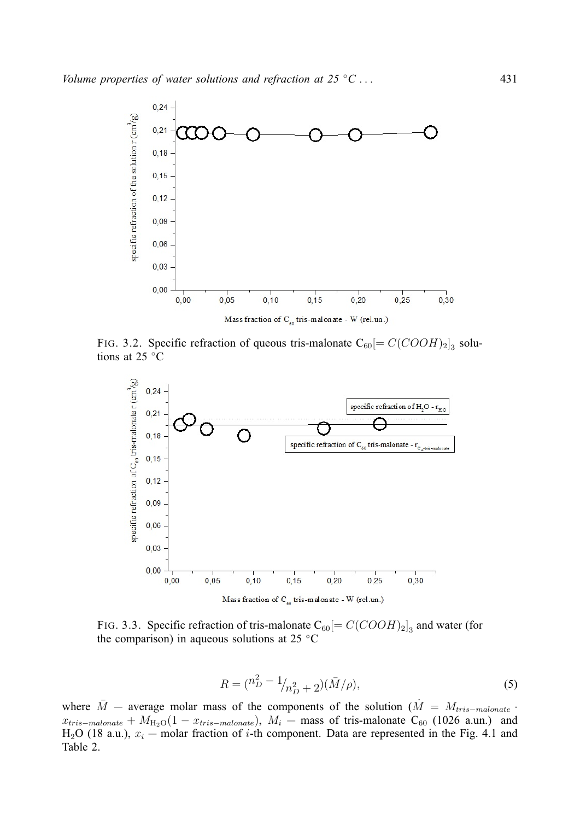

FIG. 3.2. Specific refraction of queous tris-malonate  $C_{60}$ [=  $C(COOH)_{2}]_3$  solutions at 25 ◦C



FIG. 3.3. Specific refraction of tris-malonate  $C_{60}$ [=  $C(COOH)_{2}]_3$  and water (for the comparison) in aqueous solutions at 25  $^{\circ}$ C

$$
R = \frac{n_D^2 - 1}{n_D^2 + 2} (\bar{M}/\rho),\tag{5}
$$

where  $\overline{M}$  — average molar mass of the components of the solution ( $\dot{M} = M_{tris-malonate}$ .  $x_{tris-malonate} + M_{\text{H}_2\text{O}}(1 - x_{tris-malonate})$ ,  $M_i$  — mass of tris-malonate C<sub>60</sub> (1026 a.un.) and H<sub>2</sub>O (18 a.u.),  $x_i$  — molar fraction of *i*-th component. Data are represented in the Fig. 4.1 and Table 2.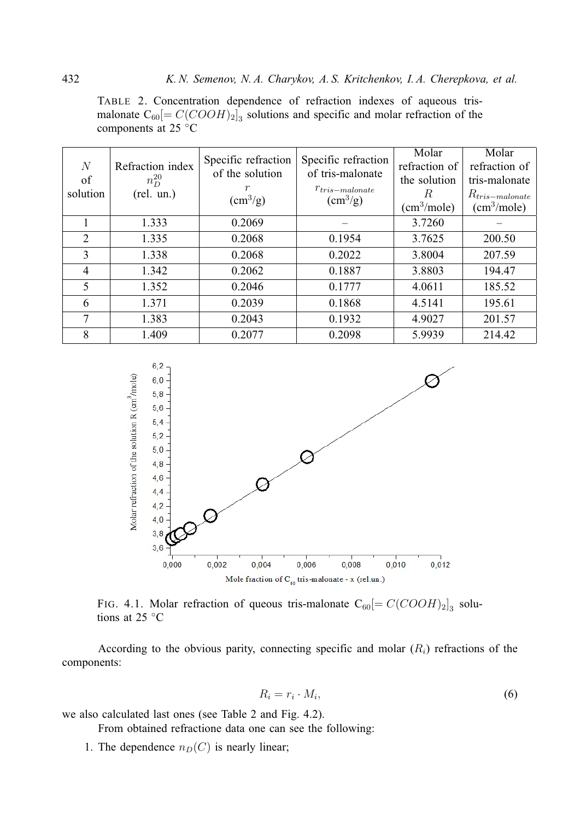TABLE 2. Concentration dependence of refraction indexes of aqueous trismalonate  $C_{60}$ [=  $C(COOH)_{2}]_{3}$  solutions and specific and molar refraction of the components at 25 ◦C

| N<br>of<br>solution         | Refraction index<br>$n_D^{20}$<br>(rel. un.) | Specific refraction<br>of the solution<br>$\rm(cm^3/g)$ | Specific refraction<br>of tris-malonate<br>$r_{tris-malonate}$<br>$\rm(cm^3/g)$ | Molar<br>refraction of<br>the solution<br>R.<br>(cm <sup>3</sup> /mole) | Molar<br>refraction of<br>tris-malonate<br>$R_{tris-malonate}$<br>(cm <sup>3</sup> /mole) |
|-----------------------------|----------------------------------------------|---------------------------------------------------------|---------------------------------------------------------------------------------|-------------------------------------------------------------------------|-------------------------------------------------------------------------------------------|
|                             | 1.333                                        | 0.2069                                                  |                                                                                 | 3.7260                                                                  |                                                                                           |
| $\mathcal{D}_{\mathcal{L}}$ | 1.335                                        | 0.2068                                                  | 0.1954                                                                          | 3.7625                                                                  | 200.50                                                                                    |
| 3                           | 1.338                                        | 0.2068                                                  | 0.2022                                                                          | 3.8004                                                                  | 207.59                                                                                    |
| 4                           | 1.342                                        | 0.2062                                                  | 0.1887                                                                          | 3.8803                                                                  | 194.47                                                                                    |
| 5                           | 1.352                                        | 0.2046                                                  | 0.1777                                                                          | 4.0611                                                                  | 185.52                                                                                    |
| 6                           | 1.371                                        | 0.2039                                                  | 0.1868                                                                          | 4.5141                                                                  | 195.61                                                                                    |
| 7                           | 1.383                                        | 0.2043                                                  | 0.1932                                                                          | 4.9027                                                                  | 201.57                                                                                    |
| 8                           | 1.409                                        | 0.2077                                                  | 0.2098                                                                          | 5.9939                                                                  | 214.42                                                                                    |



FIG. 4.1. Molar refraction of queous tris-malonate  $C_{60}$ [=  $C(COOH)_{2}]_3$  solutions at 25 °C

According to the obvious parity, connecting specific and molar  $(R<sub>i</sub>)$  refractions of the components:

$$
R_i = r_i \cdot M_i,\tag{6}
$$

we also calculated last ones (see Table 2 and Fig. 4.2).

From obtained refractione data one can see the following:

1. The dependence  $n_D(C)$  is nearly linear;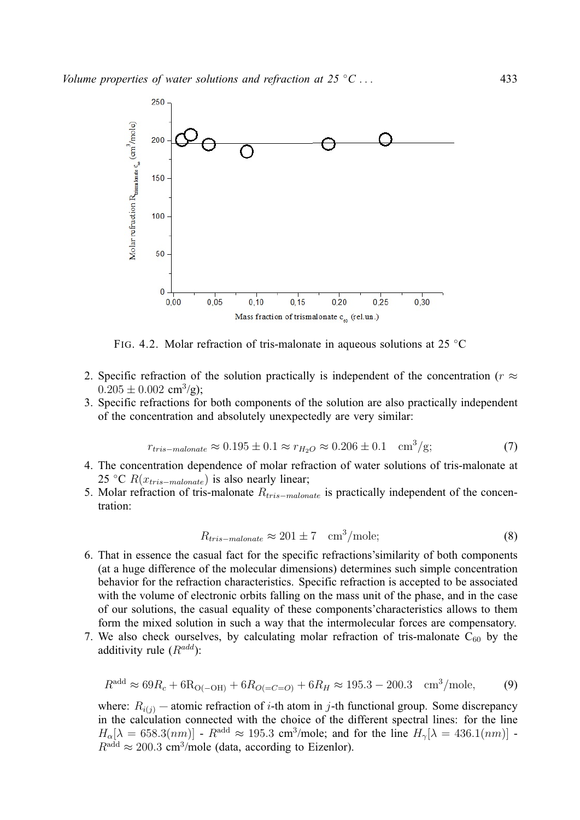

FIG. 4.2. Molar refraction of tris-malonate in aqueous solutions at 25  $\mathrm{^{\circ}C}$ 

- 2. Specific refraction of the solution practically is independent of the concentration ( $r \approx$  $0.205 \pm 0.002$  cm<sup>3</sup>/g);
- 3. Specific refractions for both components of the solution are also practically independent of the concentration and absolutely unexpectedly are very similar:

$$
r_{tris-malonate} \approx 0.195 \pm 0.1 \approx r_{H_2O} \approx 0.206 \pm 0.1 \quad \text{cm}^3/\text{g};\tag{7}
$$

- 4. The concentration dependence of molar refraction of water solutions of tris-malonate at 25 °C  $R(x_{tris-malonate})$  is also nearly linear;
- 5. Molar refraction of tris-malonate  $R_{tris-malonate}$  is practically independent of the concentration:

$$
R_{tris-malone} \approx 201 \pm 7 \quad \text{cm}^3/\text{mole};\tag{8}
$$

- 6. That in essence the casual fact for the specific refractions'similarity of both components (at a huge difference of the molecular dimensions) determines such simple concentration behavior for the refraction characteristics. Specific refraction is accepted to be associated with the volume of electronic orbits falling on the mass unit of the phase, and in the case of our solutions, the casual equality of these components'characteristics allows to them form the mixed solution in such a way that the intermolecular forces are compensatory.
- 7. We also check ourselves, by calculating molar refraction of tris-malonate  $C_{60}$  by the additivity rule  $(R^{add})$ :

$$
R^{\text{add}} \approx 69R_c + 6R_{\text{O}(-OH)} + 6R_{O(=C=O)} + 6R_H \approx 195.3 - 200.3 \text{ cm}^3/\text{mole},\tag{9}
$$

where:  $R_{i(j)}$  – atomic refraction of *i*-th atom in *j*-th functional group. Some discrepancy in the calculation connected with the choice of the different spectral lines: for the line  $H_{\alpha}[\lambda = 658.3(nm)]$  -  $R^{\text{add}} \approx 195.3 \text{ cm}^3/\text{mole}$ ; and for the line  $H_{\gamma}[\lambda = 436.1(nm)]$  - $R^{\text{add}} \approx 200.3 \text{ cm}^3/\text{mole}$  (data, according to Eizenlor).